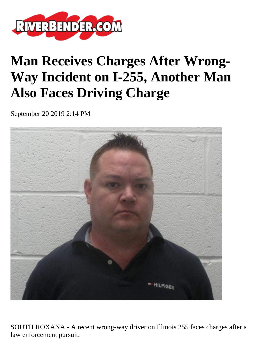

## **Man Receives Charges After Wrong-Way Incident on I-255, Another Man Also Faces Driving Charge**

September 20 2019 2:14 PM



SOUTH ROXANA - A recent wrong-way driver on Illinois 255 faces charges after a law enforcement pursuit.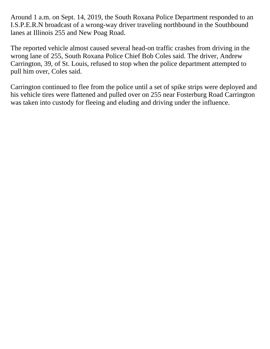Around 1 a.m. on Sept. 14, 2019, the South Roxana Police Department responded to an I.S.P.E.R.N broadcast of a wrong-way driver traveling northbound in the Southbound lanes at Illinois 255 and New Poag Road.

The reported vehicle almost caused several head-on traffic crashes from driving in the wrong lane of 255, South Roxana Police Chief Bob Coles said. The driver, Andrew Carrington, 39, of St. Louis, refused to stop when the police department attempted to pull him over, Coles said.

Carrington continued to flee from the police until a set of spike strips were deployed and his vehicle tires were flattened and pulled over on 255 near Fosterburg Road Carrington was taken into custody for fleeing and eluding and driving under the influence.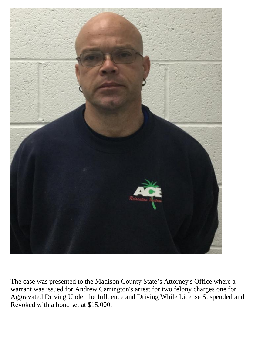

The case was presented to the Madison County State's Attorney's Office where a warrant was issued for Andrew Carrington's arrest for two felony charges one for Aggravated Driving Under the Influence and Driving While License Suspended and Revoked with a bond set at \$15,000.